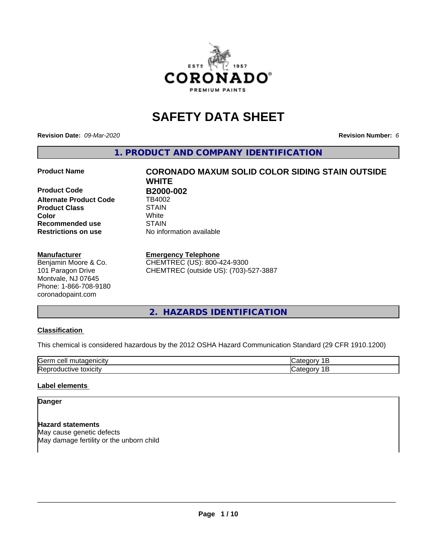

# **SAFETY DATA SHEET**

**Revision Date:** *09-Mar-2020* **Revision Number:** *6*

**1. PRODUCT AND COMPANY IDENTIFICATION**

**Product Code B2000-002 Alternate Product Code** TB4002 **Product Class STAIN STAIN Color Recommended use STAIN Restrictions on use** No information available

#### **Manufacturer**

Benjamin Moore & Co. 101 Paragon Drive Montvale, NJ 07645 Phone: 1-866-708-9180 coronadopaint.com

**Product Name CORONADO MAXUM SOLID COLOR SIDING STAIN OUTSIDE WHITE Color** White

#### **Emergency Telephone**

CHEMTREC (US): 800-424-9300 CHEMTREC (outside US): (703)-527-3887

## **2. HAZARDS IDENTIFICATION**

## **Classification**

This chemical is considered hazardous by the 2012 OSHA Hazard Communication Standard (29 CFR 1910.1200)

| اڪا<br>                           |  |
|-----------------------------------|--|
| r<br>⊷<br>ъ.<br>$\mathbf{v}$<br>. |  |

## **Label elements**

## **Danger**

**Hazard statements** May cause genetic defects May damage fertility or the unborn child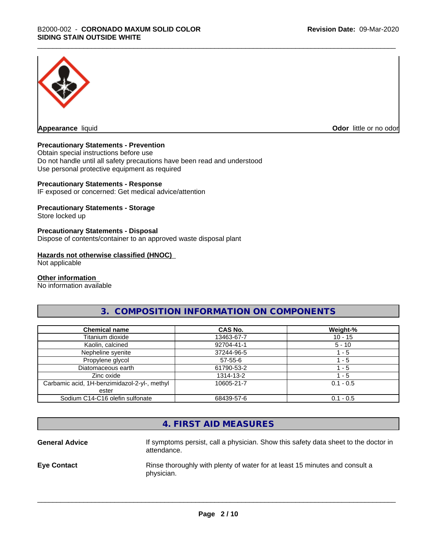

**Appearance** liquid **CODO** *Appearance liquid* **Odor** *CODO CODO* **<b>***CODO CODO CODO CODO CODO* 

## **Precautionary Statements - Prevention**

Obtain special instructions before use Do not handle until all safety precautions have been read and understood Use personal protective equipment as required

## **Precautionary Statements - Response**

IF exposed or concerned: Get medical advice/attention

## **Precautionary Statements - Storage**

Store locked up

#### **Precautionary Statements - Disposal**

Dispose of contents/container to an approved waste disposal plant

#### **Hazards not otherwise classified (HNOC)**

Not applicable

#### **Other information**

No information available

## **3. COMPOSITION INFORMATION ON COMPONENTS**

| <b>Chemical name</b>                         | <b>CAS No.</b> | Weight-%    |
|----------------------------------------------|----------------|-------------|
| Titanium dioxide                             | 13463-67-7     | $10 - 15$   |
| Kaolin, calcined                             | 92704-41-1     | $5 - 10$    |
| Nepheline syenite                            | 37244-96-5     | $-5$        |
| Propylene glycol                             | $57 - 55 - 6$  | - 5         |
| Diatomaceous earth                           | 61790-53-2     | ' - 5       |
| Zinc oxide                                   | 1314-13-2      | $-5$        |
| Carbamic acid, 1H-benzimidazol-2-yl-, methyl | 10605-21-7     | $0.1 - 0.5$ |
| ester                                        |                |             |
| Sodium C14-C16 olefin sulfonate              | 68439-57-6     | $0.1 - 0.5$ |

## **4. FIRST AID MEASURES**

General Advice **If symptoms persist, call a physician.** Show this safety data sheet to the doctor in attendance. **Eye Contact Rinse thoroughly with plenty of water for at least 15 minutes and consult a** physician.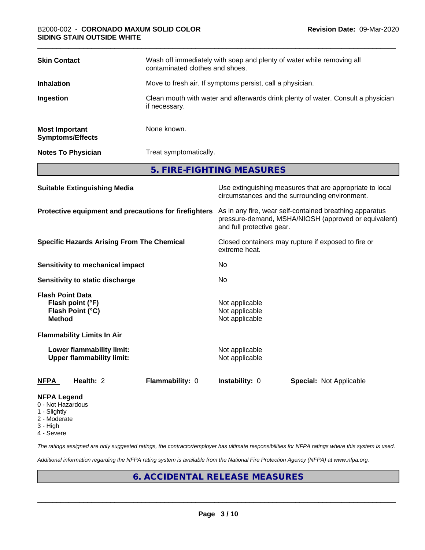| <b>Skin Contact</b>                              | Wash off immediately with soap and plenty of water while removing all<br>contaminated clothes and shoes. |
|--------------------------------------------------|----------------------------------------------------------------------------------------------------------|
| <b>Inhalation</b>                                | Move to fresh air. If symptoms persist, call a physician.                                                |
| Ingestion                                        | Clean mouth with water and afterwards drink plenty of water. Consult a physician<br>if necessary.        |
| <b>Most Important</b><br><b>Symptoms/Effects</b> | None known.                                                                                              |
| <b>Notes To Physician</b>                        | Treat symptomatically.                                                                                   |
|                                                  | 5. FIRE-FIGHTING MEASURES                                                                                |

| <b>Suitable Extinguishing Media</b>                                              | Use extinguishing measures that are appropriate to local<br>circumstances and the surrounding environment.                                   |
|----------------------------------------------------------------------------------|----------------------------------------------------------------------------------------------------------------------------------------------|
| Protective equipment and precautions for firefighters                            | As in any fire, wear self-contained breathing apparatus<br>pressure-demand, MSHA/NIOSH (approved or equivalent)<br>and full protective gear. |
| <b>Specific Hazards Arising From The Chemical</b>                                | Closed containers may rupture if exposed to fire or<br>extreme heat.                                                                         |
| Sensitivity to mechanical impact                                                 | No.                                                                                                                                          |
| Sensitivity to static discharge                                                  | No.                                                                                                                                          |
| <b>Flash Point Data</b><br>Flash point (°F)<br>Flash Point (°C)<br><b>Method</b> | Not applicable<br>Not applicable<br>Not applicable                                                                                           |
| <b>Flammability Limits In Air</b>                                                |                                                                                                                                              |
| Lower flammability limit:<br><b>Upper flammability limit:</b>                    | Not applicable<br>Not applicable                                                                                                             |
| Health: 2<br><b>Flammability: 0</b><br>NFPA                                      | <b>Instability: 0</b><br><b>Special: Not Applicable</b>                                                                                      |
| <b>NFPA Legend</b>                                                               |                                                                                                                                              |

- 0 Not Hazardous
- 1 Slightly
- 2 Moderate
- 3 High
- 4 Severe

*The ratings assigned are only suggested ratings, the contractor/employer has ultimate responsibilities for NFPA ratings where this system is used.*

*Additional information regarding the NFPA rating system is available from the National Fire Protection Agency (NFPA) at www.nfpa.org.*

# **6. ACCIDENTAL RELEASE MEASURES**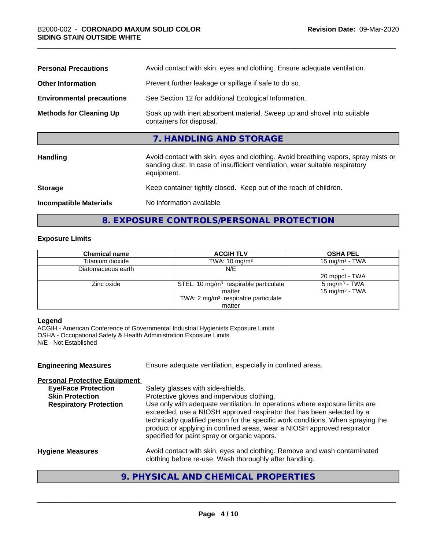| <b>Personal Precautions</b>      | Avoid contact with skin, eyes and clothing. Ensure adequate ventilation.                                                                                                         |
|----------------------------------|----------------------------------------------------------------------------------------------------------------------------------------------------------------------------------|
| <b>Other Information</b>         | Prevent further leakage or spillage if safe to do so.                                                                                                                            |
| <b>Environmental precautions</b> | See Section 12 for additional Ecological Information.                                                                                                                            |
| <b>Methods for Cleaning Up</b>   | Soak up with inert absorbent material. Sweep up and shovel into suitable<br>containers for disposal.                                                                             |
|                                  | 7. HANDLING AND STORAGE                                                                                                                                                          |
| <b>Handling</b>                  | Avoid contact with skin, eyes and clothing. Avoid breathing vapors, spray mists or<br>sanding dust. In case of insufficient ventilation, wear suitable respiratory<br>equipment. |
| <b>Storage</b>                   | Keep container tightly closed. Keep out of the reach of children.                                                                                                                |
| <b>Incompatible Materials</b>    | No information available                                                                                                                                                         |
|                                  |                                                                                                                                                                                  |

# **8. EXPOSURE CONTROLS/PERSONAL PROTECTION**

## **Exposure Limits**

| <b>Chemical name</b> | <b>ACGIH TLV</b>                                  | <b>OSHA PEL</b>            |
|----------------------|---------------------------------------------------|----------------------------|
| Titanium dioxide     | TWA: $10 \text{ mg/m}^3$                          | 15 mg/m $3$ - TWA          |
| Diatomaceous earth   | N/E                                               |                            |
|                      |                                                   | 20 mppcf - TWA             |
| Zinc oxide           | STEL: 10 mg/m <sup>3</sup> respirable particulate | $5 \text{ mg/m}^3$ - TWA   |
|                      | matter                                            | 15 mg/m <sup>3</sup> - TWA |
|                      | TWA: $2 \text{ mg/m}^3$ respirable particulate    |                            |
|                      | matter                                            |                            |

## **Legend**

ACGIH - American Conference of Governmental Industrial Hygienists Exposure Limits OSHA - Occupational Safety & Health Administration Exposure Limits N/E - Not Established

| <b>Engineering Measures</b>          | Ensure adequate ventilation, especially in confined areas.                                                                                                                                                                                                                                                                                                          |
|--------------------------------------|---------------------------------------------------------------------------------------------------------------------------------------------------------------------------------------------------------------------------------------------------------------------------------------------------------------------------------------------------------------------|
| <b>Personal Protective Equipment</b> |                                                                                                                                                                                                                                                                                                                                                                     |
| <b>Eye/Face Protection</b>           | Safety glasses with side-shields.                                                                                                                                                                                                                                                                                                                                   |
| <b>Skin Protection</b>               | Protective gloves and impervious clothing.                                                                                                                                                                                                                                                                                                                          |
| <b>Respiratory Protection</b>        | Use only with adequate ventilation. In operations where exposure limits are<br>exceeded, use a NIOSH approved respirator that has been selected by a<br>technically qualified person for the specific work conditions. When spraying the<br>product or applying in confined areas, wear a NIOSH approved respirator<br>specified for paint spray or organic vapors. |
| <b>Hygiene Measures</b>              | Avoid contact with skin, eyes and clothing. Remove and wash contaminated<br>clothing before re-use. Wash thoroughly after handling.                                                                                                                                                                                                                                 |

# **9. PHYSICAL AND CHEMICAL PROPERTIES**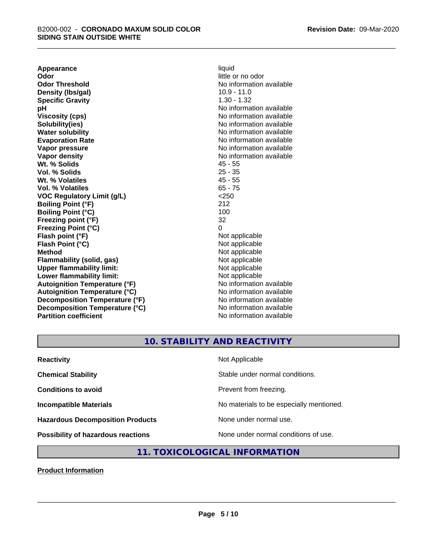**Appearance** liquid<br> **Odor** little c **Odor Threshold** No information available **Density (lbs/gal)** 10.9 - 11.0 **Specific Gravity** 1.30 - 1.32 **pH** No information available **Viscosity (cps)** No information available Notice 1, 1999 **Solubility(ies)** No information available in the solution of the solution of the solution available in the solution of the solution of the solution of the solution of the solution of the solution of the solution of the so **Water solubility** No information available **Evaporation Rate No information available No information available Vapor pressure** No information available in the North American Monte available in the North American available **Vapor density**<br> **We Solids**<br>
We Solid Wi, % Solids
2019 **Wt. % Solids** 45 - 55<br> **Vol. % Solids** 25 - 35 **Vol. % Solids Wt. % Volatiles** 45 - 55 **Vol. % Volatiles** 65 - 75 **VOC Regulatory Limit (g/L)** <250 **Boiling Point (°F)** 212 **Boiling Point (°C) Freezing point (°F)** 32 **Freezing Point (°C)** 0 **Flash point (°F)**<br> **Flash Point (°C)**<br> **Flash Point (°C)**<br> **Complicate State Additional Point (°C)**<br> **Not** applicable **Flash Point (°C) Method** Not applicable<br> **Flammability (solid, gas)** Not applicable Not applicable **Flammability** (solid, gas) **Upper flammability limit:**<br> **Lower flammability limit:**<br>
Not applicable<br>
Not applicable **Lower flammability limit:**<br> **Autoignition Temperature (°F)** Not applicable Not applicable available **Autoignition Temperature (°F) Autoignition Temperature (°C)** No information available **Decomposition Temperature (°F)** No information available **Decomposition Temperature (°C)** No information available **Partition coefficient** No information available

little or no odor

# **10. STABILITY AND REACTIVITY**

| <b>Reactivity</b>                         | Not Applicable                           |
|-------------------------------------------|------------------------------------------|
| <b>Chemical Stability</b>                 | Stable under normal conditions.          |
| <b>Conditions to avoid</b>                | Prevent from freezing.                   |
| <b>Incompatible Materials</b>             | No materials to be especially mentioned. |
| <b>Hazardous Decomposition Products</b>   | None under normal use.                   |
| <b>Possibility of hazardous reactions</b> | None under normal conditions of use.     |

## **11. TOXICOLOGICAL INFORMATION**

**Product Information**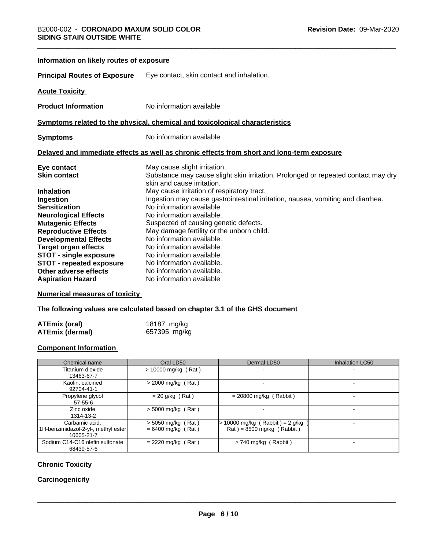| Information on likely routes of exposure |                                                                                                                 |
|------------------------------------------|-----------------------------------------------------------------------------------------------------------------|
| <b>Principal Routes of Exposure</b>      | Eye contact, skin contact and inhalation.                                                                       |
| <b>Acute Toxicity</b>                    |                                                                                                                 |
| <b>Product Information</b>               | No information available                                                                                        |
|                                          | Symptoms related to the physical, chemical and toxicological characteristics                                    |
| <b>Symptoms</b>                          | No information available                                                                                        |
|                                          | Delayed and immediate effects as well as chronic effects from short and long-term exposure                      |
| Eye contact                              | May cause slight irritation.                                                                                    |
| <b>Skin contact</b>                      | Substance may cause slight skin irritation. Prolonged or repeated contact may dry<br>skin and cause irritation. |
| <b>Inhalation</b>                        | May cause irritation of respiratory tract.                                                                      |
| Ingestion                                | Ingestion may cause gastrointestinal irritation, nausea, vomiting and diarrhea.                                 |
| <b>Sensitization</b>                     | No information available                                                                                        |
| <b>Neurological Effects</b>              | No information available.                                                                                       |
| <b>Mutagenic Effects</b>                 | Suspected of causing genetic defects.                                                                           |
| <b>Reproductive Effects</b>              | May damage fertility or the unborn child.                                                                       |
| <b>Developmental Effects</b>             | No information available.                                                                                       |
| <b>Target organ effects</b>              | No information available.                                                                                       |
| <b>STOT - single exposure</b>            | No information available.                                                                                       |
| <b>STOT - repeated exposure</b>          | No information available.                                                                                       |
| Other adverse effects                    | No information available.                                                                                       |
| <b>Aspiration Hazard</b>                 | No information available                                                                                        |

## **Numerical measures of toxicity**

**The following values are calculated based on chapter 3.1 of the GHS document**

| <b>ATEmix (oral)</b>   | 18187 mg/kg  |
|------------------------|--------------|
| <b>ATEmix (dermal)</b> | 657395 mg/kg |

## **Component Information**

| Chemical name                                                       | Oral LD50                                    | Dermal LD50                                                      | Inhalation LC50 |
|---------------------------------------------------------------------|----------------------------------------------|------------------------------------------------------------------|-----------------|
| Titanium dioxide<br>13463-67-7                                      | $> 10000$ mg/kg (Rat)                        |                                                                  |                 |
| Kaolin, calcined<br>92704-41-1                                      | $>$ 2000 mg/kg (Rat)                         |                                                                  |                 |
| Propylene glycol<br>$57 - 55 - 6$                                   | $= 20$ g/kg (Rat)                            | $= 20800$ mg/kg (Rabbit)                                         |                 |
| Zinc oxide<br>1314-13-2                                             | $>$ 5000 mg/kg (Rat)                         |                                                                  |                 |
| Carbamic acid,<br>1H-benzimidazol-2-yl-, methyl ester<br>10605-21-7 | $>$ 5050 mg/kg (Rat)<br>$= 6400$ mg/kg (Rat) | 10000 mg/kg (Rabbit) = $2$ g/kg (<br>$Rat$ = 8500 mg/kg (Rabbit) |                 |
| Sodium C14-C16 olefin sulfonate<br>68439-57-6                       | $= 2220$ mg/kg (Rat)                         | $> 740$ mg/kg (Rabbit)                                           |                 |

## **Chronic Toxicity**

## **Carcinogenicity**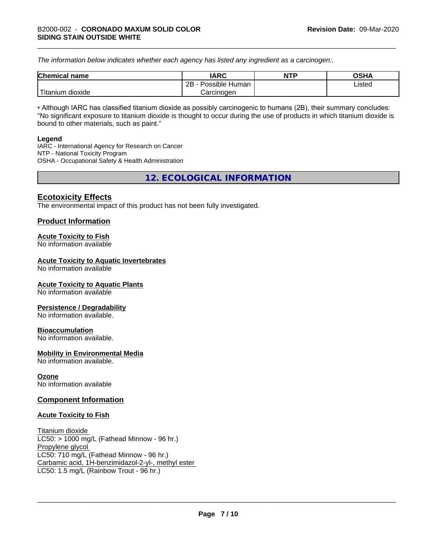*The information below indicateswhether each agency has listed any ingredient as a carcinogen:.*

| <b>Chemical</b><br>name | <b>IARC</b>                    | <b>NTP</b> | <b>OSHA</b> |
|-------------------------|--------------------------------|------------|-------------|
|                         | . .<br>2B<br>Possible<br>Human |            | Listed<br>. |
| dioxide<br>⊺itanium     | Carcinogen                     |            |             |

• Although IARC has classified titanium dioxide as possibly carcinogenic to humans (2B), their summary concludes: "No significant exposure to titanium dioxide is thought to occur during the use of products in which titanium dioxide is bound to other materials, such as paint."

#### **Legend**

IARC - International Agency for Research on Cancer NTP - National Toxicity Program OSHA - Occupational Safety & Health Administration

**12. ECOLOGICAL INFORMATION**

## **Ecotoxicity Effects**

The environmental impact of this product has not been fully investigated.

## **Product Information**

## **Acute Toxicity to Fish**

No information available

## **Acute Toxicity to Aquatic Invertebrates**

No information available

## **Acute Toxicity to Aquatic Plants**

No information available

## **Persistence / Degradability**

No information available.

## **Bioaccumulation**

No information available.

## **Mobility in Environmental Media**

No information available.

## **Ozone**

No information available

## **Component Information**

## **Acute Toxicity to Fish**

Titanium dioxide  $LC50:$  > 1000 mg/L (Fathead Minnow - 96 hr.) Propylene glycol LC50: 710 mg/L (Fathead Minnow - 96 hr.) Carbamic acid, 1H-benzimidazol-2-yl-, methyl ester LC50: 1.5 mg/L (Rainbow Trout - 96 hr.)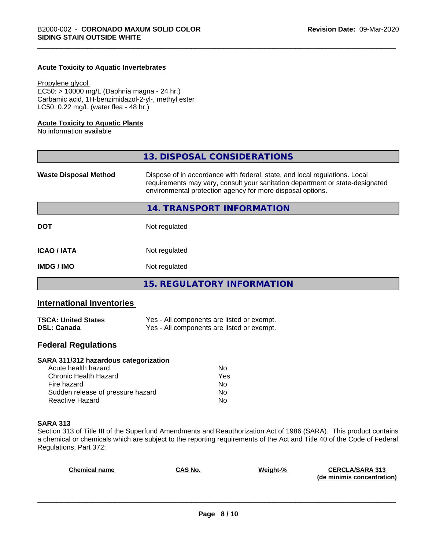#### **Acute Toxicity to Aquatic Invertebrates**

Propylene glycol EC50: > 10000 mg/L (Daphnia magna - 24 hr.) Carbamic acid, 1H-benzimidazol-2-yl-, methyl ester LC50: 0.22 mg/L (water flea - 48 hr.)

#### **Acute Toxicity to Aquatic Plants**

No information available

|                              | 13. DISPOSAL CONSIDERATIONS                                                                                                                                                                                               |  |
|------------------------------|---------------------------------------------------------------------------------------------------------------------------------------------------------------------------------------------------------------------------|--|
| <b>Waste Disposal Method</b> | Dispose of in accordance with federal, state, and local regulations. Local<br>requirements may vary, consult your sanitation department or state-designated<br>environmental protection agency for more disposal options. |  |
|                              | 14. TRANSPORT INFORMATION                                                                                                                                                                                                 |  |
| <b>DOT</b>                   | Not regulated                                                                                                                                                                                                             |  |
| <b>ICAO/IATA</b>             | Not regulated                                                                                                                                                                                                             |  |
| <b>IMDG/IMO</b>              | Not regulated                                                                                                                                                                                                             |  |
|                              | <b>15. REGULATORY INFORMATION</b>                                                                                                                                                                                         |  |

## **International Inventories**

| <b>TSCA: United States</b> | Yes - All components are listed or exempt. |
|----------------------------|--------------------------------------------|
| <b>DSL: Canada</b>         | Yes - All components are listed or exempt. |

## **Federal Regulations**

## **SARA 311/312 hazardous categorization**

| Acute health hazard               | No. |  |
|-----------------------------------|-----|--|
| Chronic Health Hazard             | Yes |  |
| Fire hazard                       | No. |  |
| Sudden release of pressure hazard | Nο  |  |
| Reactive Hazard                   | Nο  |  |

#### **SARA 313**

Section 313 of Title III of the Superfund Amendments and Reauthorization Act of 1986 (SARA). This product contains a chemical or chemicals which are subject to the reporting requirements of the Act and Title 40 of the Code of Federal Regulations, Part 372:

| <b>Chemical name</b> | <b>CAS No.</b> | Weight-% | <b>CERCLA/SARA 313</b>     |
|----------------------|----------------|----------|----------------------------|
|                      |                |          | (de minimis concentration) |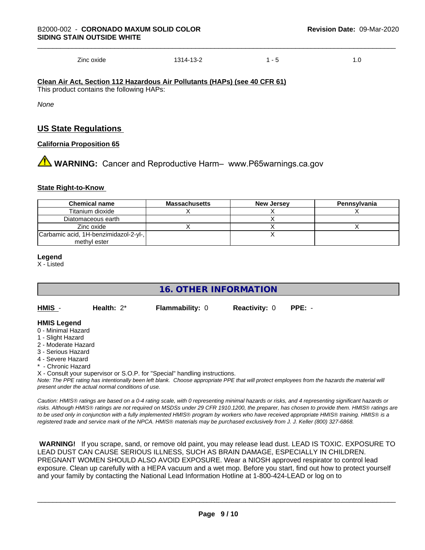Zinc oxide 1314-13-2 1 - 5 1.0

**Clean Air Act,Section 112 Hazardous Air Pollutants (HAPs) (see 40 CFR 61)** This product contains the following HAPs:

*None*

## **US State Regulations**

#### **California Proposition 65**

**1** WARNING: Cancer and Reproductive Harm– www.P65warnings.ca.gov

#### **State Right-to-Know**

| <b>Chemical name</b>                  | <b>Massachusetts</b> | <b>New Jersey</b> | Pennsylvania |
|---------------------------------------|----------------------|-------------------|--------------|
| Titanium dioxide                      |                      |                   |              |
| Diatomaceous earth                    |                      |                   |              |
| Zinc oxide                            |                      |                   |              |
| Carbamic acid, 1H-benzimidazol-2-yl-, |                      |                   |              |
| methyl ester                          |                      |                   |              |

#### **Legend**

X - Listed

## **16. OTHER INFORMATION**

**HMIS** - **Health:** 2\* **Flammability:** 0 **Reactivity:** 0 **PPE:** -

## **HMIS Legend**

- 0 Minimal Hazard
- 1 Slight Hazard
- 2 Moderate Hazard
- 3 Serious Hazard
- 4 Severe Hazard
- \* Chronic Hazard
- X Consult your supervisor or S.O.P. for "Special" handling instructions.

*Note: The PPE rating has intentionally been left blank. Choose appropriate PPE that will protect employees from the hazards the material will present under the actual normal conditions of use.*

*Caution: HMISÒ ratings are based on a 0-4 rating scale, with 0 representing minimal hazards or risks, and 4 representing significant hazards or risks. Although HMISÒ ratings are not required on MSDSs under 29 CFR 1910.1200, the preparer, has chosen to provide them. HMISÒ ratings are to be used only in conjunction with a fully implemented HMISÒ program by workers who have received appropriate HMISÒ training. HMISÒ is a registered trade and service mark of the NPCA. HMISÒ materials may be purchased exclusively from J. J. Keller (800) 327-6868.*

 **WARNING!** If you scrape, sand, or remove old paint, you may release lead dust. LEAD IS TOXIC. EXPOSURE TO LEAD DUST CAN CAUSE SERIOUS ILLNESS, SUCH AS BRAIN DAMAGE, ESPECIALLY IN CHILDREN. PREGNANT WOMEN SHOULD ALSO AVOID EXPOSURE. Wear a NIOSH approved respirator to control lead exposure. Clean up carefully with a HEPA vacuum and a wet mop. Before you start, find out how to protect yourself and your family by contacting the National Lead Information Hotline at 1-800-424-LEAD or log on to